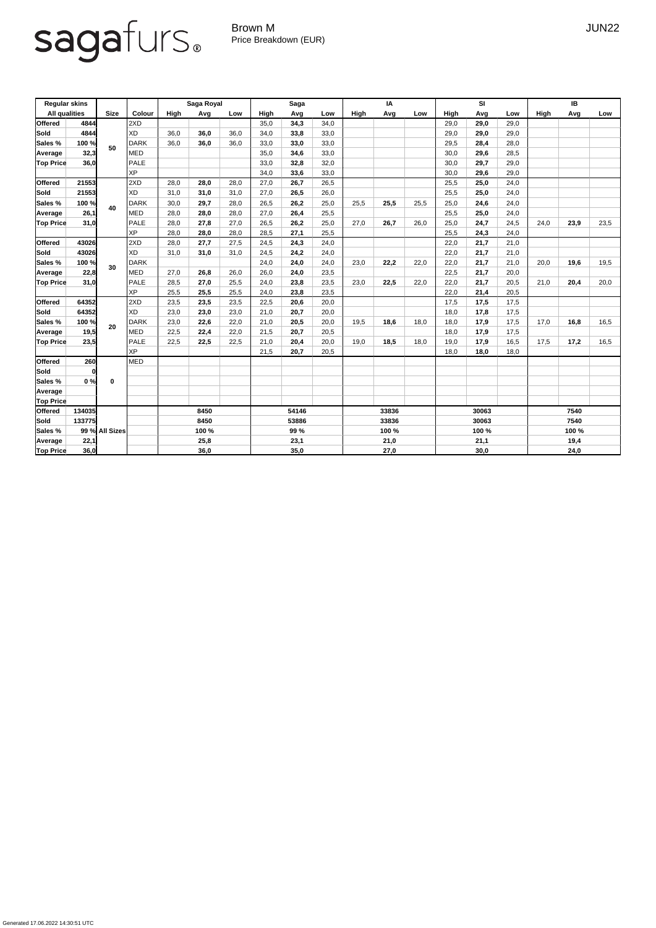Generated 17.06.2022 14:30:51 UTC

## sagafurs.

Brown M JUN22 Price Breakdown (EUR)

| <b>Regular skins</b> |              |                |             | <b>Saga Royal</b>  |      |                           | <b>Saga</b> |                           |      | IA                        |      |      | <b>SI</b>   |      |      | IB   |       |      |  |
|----------------------|--------------|----------------|-------------|--------------------|------|---------------------------|-------------|---------------------------|------|---------------------------|------|------|-------------|------|------|------|-------|------|--|
| <b>All qualities</b> |              | <b>Size</b>    | Colour      | High<br>Avg<br>Low |      | <b>High</b><br>Avg<br>Low |             | <b>High</b><br>Avg<br>Low |      | <b>High</b><br>Avg<br>Low |      |      | <b>High</b> | Low  |      |      |       |      |  |
| <b>Offered</b>       | 4844         |                | 2XD         |                    |      |                           | 35,0        | 34,3                      | 34,0 |                           |      |      | 29,0        | 29,0 | 29,0 |      |       |      |  |
| Sold                 | 4844         |                | XD          | 36,0               | 36,0 | 36,0                      | 34,0        | 33,8                      | 33,0 |                           |      |      | 29,0        | 29,0 | 29,0 |      |       |      |  |
| Sales %              | 100 %        |                | DARK        | 36,0               | 36,0 | 36,0                      | 33,0        | 33,0                      | 33,0 |                           |      |      | 29,5        | 28,4 | 28,0 |      |       |      |  |
| Average              | 32,3         | 50             | <b>MED</b>  |                    |      |                           | 35,0        | 34,6                      | 33,0 |                           |      |      | 30,0        | 29,6 | 28,5 |      |       |      |  |
| <b>Top Price</b>     | 36,0         |                | PALE        |                    |      |                           | 33,0        | 32,8                      | 32,0 |                           |      |      | 30,0        | 29,7 | 29,0 |      |       |      |  |
|                      |              |                | XP          |                    |      |                           | 34,0        | 33,6                      | 33,0 |                           |      |      | 30,0        | 29,6 | 29,0 |      |       |      |  |
| <b>Offered</b>       | 21553        |                | 2XD         | 28,0               | 28,0 | 28,0                      | 27,0        | 26,7                      | 26,5 |                           |      |      | 25,5        | 25,0 | 24,0 |      |       |      |  |
| Sold                 | 21553        | 40             | XD          | 31,0               | 31,0 | 31,0                      | 27,0        | 26,5                      | 26,0 |                           |      |      | 25,5        | 25,0 | 24,0 |      |       |      |  |
| <b>Sales %</b>       | 100 %        |                | DARK        | 30,0               | 29,7 | 28,0                      | 26,5        | 26,2                      | 25,0 | 25,5                      | 25,5 | 25,5 | 25,0        | 24,6 | 24,0 |      |       |      |  |
| Average              | 26,1         |                | <b>MED</b>  | 28,0               | 28,0 | 28,0                      | 27,0        | 26,4                      | 25,5 |                           |      |      | 25,5        | 25,0 | 24,0 |      |       |      |  |
| <b>Top Price</b>     | 31,0         |                | PALE        | 28,0               | 27,8 | 27,0                      | 26,5        | 26,2                      | 25,0 | 27,0                      | 26,7 | 26,0 | 25,0        | 24,7 | 24,5 | 24,0 | 23,9  | 23,5 |  |
|                      |              |                | XP          | 28,0               | 28,0 | 28,0                      | 28,5        | 27,1                      | 25,5 |                           |      |      | 25,5        | 24,3 | 24,0 |      |       |      |  |
| <b>Offered</b>       | 43026        |                | 2XD         | 28,0               | 27,7 | 27,5                      | 24,5        | 24,3                      | 24,0 |                           |      |      | 22,0        | 21,7 | 21,0 |      |       |      |  |
| Sold                 | 43026        |                | XD          | 31,0               | 31,0 | 31,0                      | 24,5        | 24,2                      | 24,0 |                           |      |      | 22,0        | 21,7 | 21,0 |      |       |      |  |
| Sales %              | 100 %        |                | DARK        |                    |      |                           | 24,0        | 24,0                      | 24,0 | 23,0                      | 22,2 | 22,0 | 22,0        | 21,7 | 21,0 | 20,0 | 19,6  | 19,5 |  |
| Average              | 22,8         | 30             | <b>MED</b>  | 27,0               | 26,8 | 26,0                      | 26,0        | 24,0                      | 23,5 |                           |      |      | 22,5        | 21,7 | 20,0 |      |       |      |  |
| <b>Top Price</b>     | 31,0         |                | PALE        | 28,5               | 27,0 | 25,5                      | 24,0        | 23,8                      | 23,5 | 23,0                      | 22,5 | 22,0 | 22,0        | 21,7 | 20,5 | 21,0 | 20,4  | 20,0 |  |
|                      |              |                | XP          | 25,5               | 25,5 | 25,5                      | 24,0        | 23,8                      | 23,5 |                           |      |      | 22,0        | 21,4 | 20,5 |      |       |      |  |
| <b>Offered</b>       | 64352        |                | 2XD         | 23,5               | 23,5 | 23,5                      | 22,5        | 20,6                      | 20,0 |                           |      |      | 17,5        | 17,5 | 17,5 |      |       |      |  |
| Sold                 | 64352        |                | XD          | 23,0               | 23,0 | 23,0                      | 21,0        | 20,7                      | 20,0 |                           |      |      | 18,0        | 17,8 | 17,5 |      |       |      |  |
| <b>Sales %</b>       | 100 %        |                | DARK        | 23,0               | 22,6 | 22,0                      | 21,0        | 20,5                      | 20,0 | 19,5                      | 18,6 | 18,0 | 18,0        | 17,9 | 17,5 | 17,0 | 16,8  | 16,5 |  |
| Average              | 19,5         | 20             | <b>MED</b>  | 22,5               | 22,4 | 22,0                      | 21,5        | 20,7                      | 20,5 |                           |      |      | 18,0        | 17,9 | 17,5 |      |       |      |  |
| <b>Top Price</b>     | 23,5         |                | <b>PALE</b> | 22,5               | 22,5 | 22,5                      | 21,0        | 20,4                      | 20,0 | 19,0                      | 18,5 | 18,0 | 19,0        | 17,9 | 16,5 | 17,5 | 17,2  | 16,5 |  |
|                      |              |                | XP          |                    |      |                           | 21,5        | 20,7                      | 20,5 |                           |      |      | 18,0        | 18,0 | 18,0 |      |       |      |  |
| <b>Offered</b>       | 260          |                | MED         |                    |      |                           |             |                           |      |                           |      |      |             |      |      |      |       |      |  |
| <b>Sold</b>          | $\mathbf{0}$ |                |             |                    |      |                           |             |                           |      |                           |      |      |             |      |      |      |       |      |  |
| Sales %              | 0%           | $\mathbf 0$    |             |                    |      |                           |             |                           |      |                           |      |      |             |      |      |      |       |      |  |
| Average              |              |                |             |                    |      |                           |             |                           |      |                           |      |      |             |      |      |      |       |      |  |
| <b>Top Price</b>     |              |                |             |                    |      |                           |             |                           |      |                           |      |      |             |      |      |      |       |      |  |
| <b>Offered</b>       | 134035       |                |             | 8450               |      |                           | 54146       |                           |      | 33836                     |      |      | 30063       |      |      | 7540 |       |      |  |
| Sold                 | 133775       |                |             | 8450               |      |                           | 53886       |                           |      | 33836                     |      |      | 30063       |      |      | 7540 |       |      |  |
| <b>Sales %</b>       |              | 99 % All Sizes |             | 100 %              |      |                           | 99 %        |                           |      | 100 %                     |      |      | 100 %       |      |      |      | 100 % |      |  |
| Average              | 22,1         |                |             |                    | 25,8 |                           |             | 23,1                      |      | 21,0                      |      |      | 21,1        |      |      | 19,4 |       |      |  |
| <b>Top Price</b>     | 36,0         |                |             | 36,0               |      |                           | 35,0        |                           | 27,0 |                           |      | 30,0 |             |      | 24,0 |      |       |      |  |